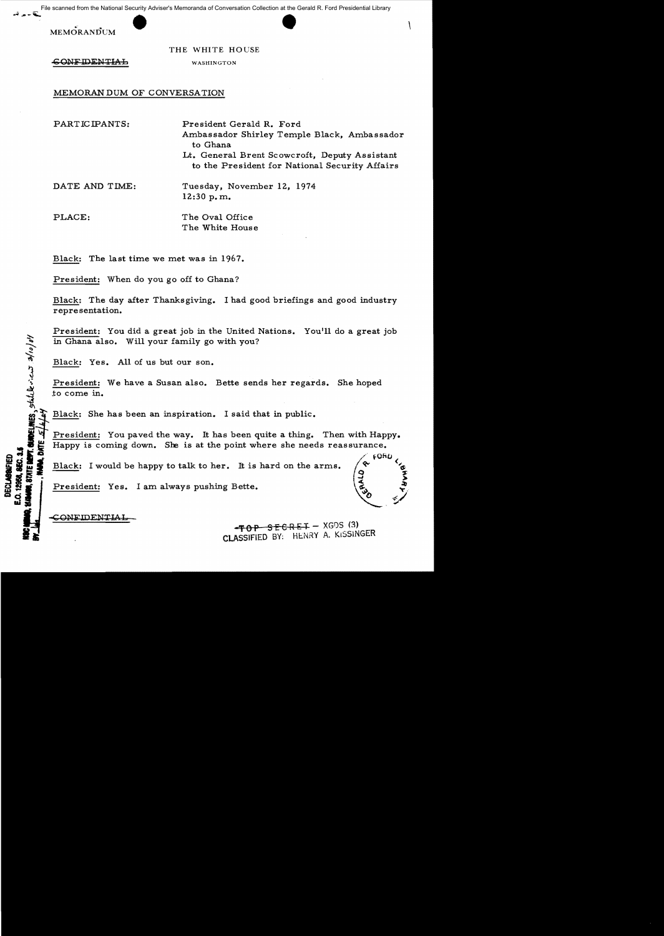From the National Security Adviser's Memoranda of Conversation Collection at the Gerald R. Ford Presidential Library<br>
FRANDUM<br>
THE WHITE HOUSE File scanned from the National Security Adviser's Memoranda of Conversation Collection at the Gerald R. Ford Presidential Library

**MEMORANDUM** 

THE WHITE HOUSE

**CONFIDENTIAL** 

WASHINGTON

MEMORANDUM OF CONVERSATION

PARTICIPANTS: President Gerald R. Ford Ambassador Shirley Temple Black, Ambassador to Ghana Lt. General Brent Scowcroft, Deputy Assistant to the President for National Security Affairs

DATE AND TIME: Tuesday, November 12, 1974 12:30 p. m.

PLACE: The Oval Office The White House

Black: The last time we met was in 1967.

President: When do you go off to Ghana?

Black: The day after Thanksgiving. I had good briefings and good industry repre sentation.

President: You did a great job in the United Nations. You'll do a great job in Ghana also. Will your family go with you?

Black: Yes. All of us but our son.

President: We have a Susan also. Bette sends her regards. She hoped .to come in.

Black: She has been an inspiration. I said that in public.

President: You paved the way. It has been quite a thing. Then with Happy. President: You paved the way. It has been quite a thing. Then with Happy is coming down. She is at the point where she needs reassurance. il ~ **i ,0** '

**I... I...** Black: I would be happy to talk to her. It is hard on the arms.  $\left(\alpha\right)^{100}$ a would be happy to talk to her. It is hard on the arms.<br>  $\begin{pmatrix} 0 & 0 \\ 0 & 0 \\ 0 & 0 \end{pmatrix}$ 

 $\begin{matrix} 0 & 0 & 0 \\ 0 & 0 & 0 \\ 0 & 0 & 0 \end{matrix}$  , where  $\begin{matrix} 0 & 0 & 0 \\ 0 & 0 & 0 \\ 0 & 0 & 0 \end{matrix}$ 

President: Yes. I am always pushing Bette.  $\overline{\mathbf{a}}$   $\overline{\mathbf{a}}$   $\overline{\mathbf{b}}$   $\overline{\mathbf{b}}$   $\overline{\mathbf{c}}$   $\overline{\mathbf{b}}$   $\overline{\mathbf{c}}$   $\overline{\mathbf{c}}$   $\overline{\mathbf{c}}$   $\overline{\mathbf{c}}$   $\overline{\mathbf{c}}$   $\overline{\mathbf{c}}$   $\overline{\mathbf{c}}$   $\overline{\mathbf{c}}$   $\overline{\mathbf{c}}$   $\overline{\mathbf{c}}$   $\overline{\mathbf{c}}$   $\overline{\mathbf{c}}$   $\overline{\$ 

CONFIDENTIAL

<u>√</u>

i, statele.<br>1

**DECLABATED** 

 $-FOP$  SECRET - XGDS (3) CLASSIFIED BY: HENRY A. KISSINGER

fOnO <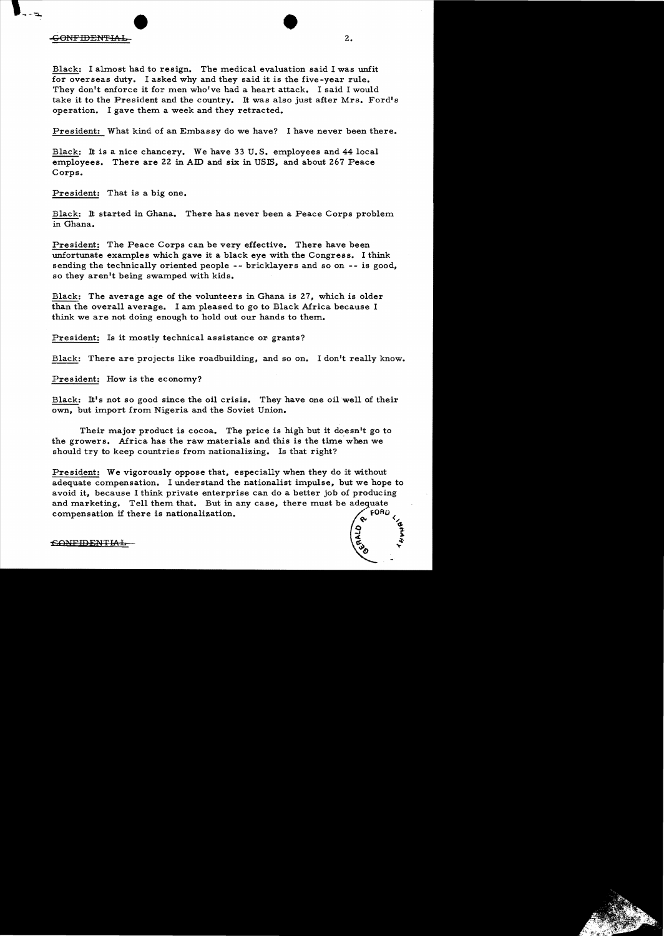## CONFIDENTIAL<sub>2</sub>

Black: I almost had to resign. The medical evaluation said I was unfit for overseas duty. I asked why and they said it is the five -year rule. They don't enforce it for men who've had a heart attack. I said I would take it to the President and the country. It was also just after Mrs. Ford's operation. I gave them a week and they retracted.

President: What kind of an Embassy do we have? I have never been there.

Black: It is a nice chancery. We have 33 U.S. employees and 44 local employees. There are 22 in AID and six in USlS, and about 267 Peace Corps.

President: That is a big one.

Black: It started in Ghana. There has never been a Peace Corps problem in Ghana.

President: The Peace Corps can be very effective. There have been unfortunate examples which gave it a black eye with the Congress. I think sending the technically oriented people **--** bricklayers and so on **--** is good, so they aren't being swamped with kids.

Black: The average age of the volunteers in Ghana is 27, which is older than the overall average. I am pleased to go to Black Africa because I think we are not doing enough to hold out our hands to them.

President: Is it mostly technical assistance or grants?

Black: There are projects like roadbuilding, and so on. I don't really know.

President: How is the economy?

Black: It's not so good since the oil crisis. They have one oil well of their own, but import from Nigeria and the Soviet Union.

Their major product is cocoa. The price is high but it doesn't go to the growers. Africa has the raw materials and this is the time' when we should try to keep countries from nationalizing. Is that right?

President: We vigorously oppose that, especially when they do it without adequate compensation. I understand the nationalist impulse, but we hope to avoid it, because I think private enterprise can do a better job of producing and marketing. Tell them that. But in any case, there must be adequate compensation if there is nationalization.  $\bigcap_{n=1}^{\infty} FORO$ 

£iO;p-lFIDEN'l'lAL- ~... *.....:.l;* 

 $\frac{1}{2}$ 

-~ .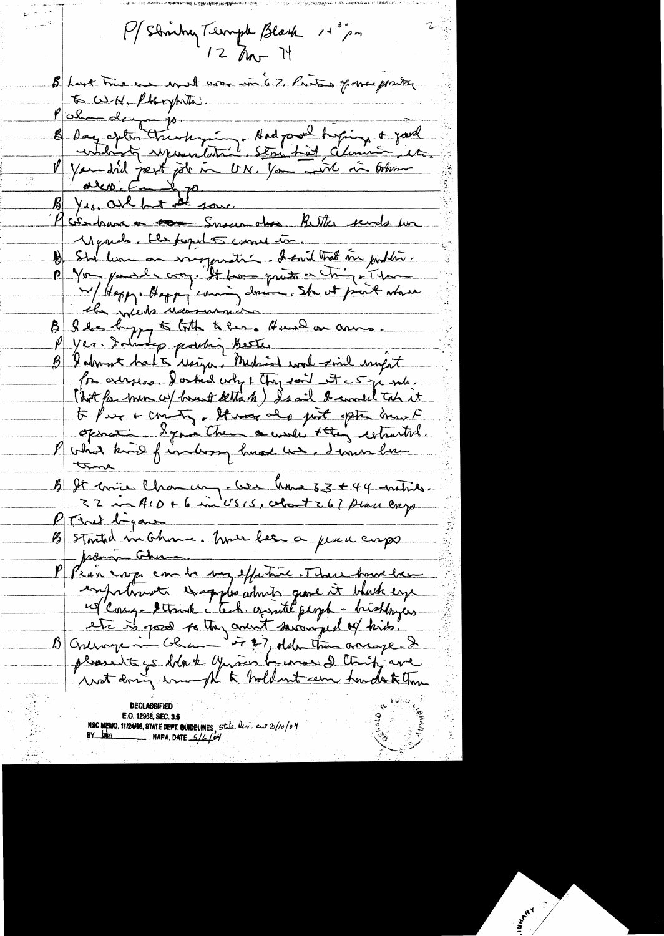P/Strichey Terriple Black 12 m  $12$  Mr 14 B hast true an word was in 67. Pritos fre protes E WH. Plarytuth: Palme de propriente de la partide de la comme de la partide de la comme de la partide de la comme de la comme<br>la facta de la partide de la comme de la comme de la comme<br>la facta de la partide de la comme de la facta de la 11 parche, the people cume in B Sta lum an energymetri . I small that me justing. P Von parde von, It pour quite en tring ét par n'/Heppy. Hoppy coming donne She at print where B I de logger to loth to less. Hund an anno. Produces. Doctid why 1 thay said it = 5 ji mls. ( dit for men w/ brust detta h ) Isail I would took it to Pres + commity. It was also just option mont openation & quin them a work stay retracted. P votrat know f indicary hund un demandere true B It enice Chancery- We have 33 + 44 minus.<br>22 in ALD + 6 in USIS, colont 267 place exp  $P$  That beyone B Staited in Chance. Une lee a place cops Pean crops can be very effective. There have been empatiments that plus which gene it which eye réfleur. It inter le tous court people - bisthingers E.O. 12958, SEC. 3.5<br>NBC MEMO, 11/2498, STATE DEPT. GUIDELINES, State  $\frac{dv}{dv}$  end 3/10/04<br>BY Man  $\mathscr{C}^{\mathbb{C}}$